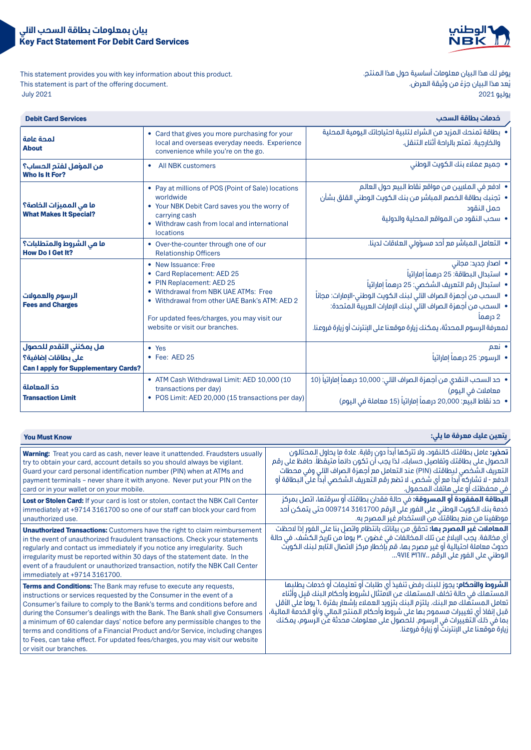



This statement provides you with key information about this product. This statement is part of the offering document. 2021 July

يوفر لك هذا البيان معلومات أساسية حول هذا المنتج. يُعد هذا البيان جزءً من وثيقة العرض. يوليو 2021

| <b>Debit Card Services</b>                                                                   |                                                                                                                                                                                                                                                           | خدمات بطاقة السحب                                                                                                                                                                                                                                                                                                                                 |
|----------------------------------------------------------------------------------------------|-----------------------------------------------------------------------------------------------------------------------------------------------------------------------------------------------------------------------------------------------------------|---------------------------------------------------------------------------------------------------------------------------------------------------------------------------------------------------------------------------------------------------------------------------------------------------------------------------------------------------|
| لمحة عامة<br><b>About</b>                                                                    | • Card that gives you more purchasing for your<br>local and overseas everyday needs. Experience<br>convenience while you're on the go.                                                                                                                    | • بطاقة تمنحك المزيد من الشراء لتلبية احتياجاتك اليومية المحلية<br>والخارجية. تمتع بالراحة أثناء التنقل.                                                                                                                                                                                                                                          |
| من المؤهل لفتم الحساب؟<br><b>Who Is It For?</b>                                              | All NBK customers                                                                                                                                                                                                                                         | • جميع عملاء بنك الكويت الوطني                                                                                                                                                                                                                                                                                                                    |
| ما هي المميزات الخاصة؟<br><b>What Makes It Special?</b>                                      | • Pay at millions of POS (Point of Sale) locations<br>worldwide<br>• Your NBK Debit Card saves you the worry of<br>carrying cash<br>• Withdraw cash from local and international<br><b>locations</b>                                                      | • ادفع في الملايين من مواقع نقاط البيع حول العالم<br>•  تجنبك بطاقة الخصم المباشر من بنك الكويت الوطني القلق بشأن<br>حمل النقود<br>• سحب النقود من المواقع المحلية والدولية                                                                                                                                                                       |
| ما هي الشروط والمتطلبات؟<br><b>How Do I Get It?</b>                                          | • Over-the-counter through one of our<br><b>Relationship Officers</b>                                                                                                                                                                                     | • التعامل المباشر مع أحد مسؤولي العلاقات لدينا.                                                                                                                                                                                                                                                                                                   |
| الرسوم والعمولات<br><b>Fees and Charges</b>                                                  | • New Issuance: Free<br>• Card Replacement: AED 25<br>• PIN Replacement: AED 25<br>• Withdrawal from NBK UAE ATMs: Free<br>• Withdrawal from other UAE Bank's ATM: AED 2<br>For updated fees/charges, you may visit our<br>website or visit our branches. | ● اصدار جدید: مجانی<br>  ● استبدال البطاقة: 25 درهماً إماراتياً<br>● استبدال رقم التعريف الشخصي: 25 درهماً إماراتياً<br>▪ السحب من أجمزة الصراف الآلى لبنك الكويت الوطنى-الإمارات: مجاناً<br>• السحب من أجهزة الصراف الآلى لبنك الإمارات العربية المتحدة:<br>2 درهما<br>ا لمعرفة الرسوم المحدثة، يمكنك زيارة موقعنا على الإنترنت أو زيارة فروعنا. |
| هل يمكنني التقدم للحصول<br>على بطاقات إضافية؟<br><b>Can I apply for Supplementary Cards?</b> | • Yes<br>• Fee: AED 25                                                                                                                                                                                                                                    | • نعم<br>•   الرسوم: 25 درهماً إماراتياً                                                                                                                                                                                                                                                                                                          |
| حدّ المعاملة<br><b>Transaction Limit</b>                                                     | • ATM Cash Withdrawal Limit: AED 10,000 (10<br>transactions per day)<br>• POS Limit: AED 20,000 (15 transactions per day)                                                                                                                                 | •   حد السحب النقدي من أجمزة الصراف الآلى: 10,000 درهماً إماراتياً (10<br>معاملات في اليوم)<br>●   دد نقاط البيع: 20,000 درهماً إماراتياً (15 معاملة في اليوم)                                                                                                                                                                                    |

| <b>You Must Know</b>                                                                                                                                                                                                                                                                                                                                                                                                                                                                                                                                                               | ٍ يتعين عليك معرفة ما يلي:                                                                                                                                                                                                                                                                                                                                                                                                                                                        |
|------------------------------------------------------------------------------------------------------------------------------------------------------------------------------------------------------------------------------------------------------------------------------------------------------------------------------------------------------------------------------------------------------------------------------------------------------------------------------------------------------------------------------------------------------------------------------------|-----------------------------------------------------------------------------------------------------------------------------------------------------------------------------------------------------------------------------------------------------------------------------------------------------------------------------------------------------------------------------------------------------------------------------------------------------------------------------------|
| <b>Warning:</b> Treat you card as cash, never leave it unattended. Fraudsters usually<br>try to obtain your card, account details so you should always be vigilant.<br>Guard your card personal identification number (PIN) when at ATMs and<br>payment terminals - never share it with anyone. Never put your PIN on the<br>card or in your wallet or on your mobile.                                                                                                                                                                                                             | . <b>تحذير:</b> عامل بطاقتك كالنقود، ولا تتركها أبدأ دون رقابة. عادة ما يحاول المحتالون<br>الحصول على بطاقتك وتفاصيل حسابك، لذا يجب أن تكون دائماً متيقظاً. حافظ على رقم<br>التعريف الشخصي لبِطاقتك (PIN) عند التعامل مع أجهزة الصراف الآلي وفي محطات<br>الدفع - لا تشاركه ّأبداً مع أي شخص. لا تضع رقم التعريف الشخصي أبداً على البطاقة أو<br>افي محفظتك أو على هاتفك المحمول.                                                                                                   |
| Lost or Stolen Card: If your card is lost or stolen, contact the NBK Call Center<br>immediately at +9714 3161700 so one of our staff can block your card from<br>unauthorized use.                                                                                                                                                                                                                                                                                                                                                                                                 | <b>البطاقة المفقودة أو المسروقة:</b> في حالة فقدان بطاقتك أو سرقتها، اتصل بمركز<br>خدمة بنك الكويت الوطني على الفور على الرقم 3161700 009714 متى يتمكن أحد<br>ِ موظفينا من منع بطاقتكَ من الاستخدام غير المصرح به.                                                                                                                                                                                                                                                                |
| <b>Unauthorized Transactions:</b> Customers have the right to claim reimbursement<br>in the event of unauthorized fraudulent transactions. Check your statements<br>regularly and contact us immediately if you notice any irregularity. Such<br>irregularity must be reported within 30 days of the statement date. In the<br>event of a fraudulent or unauthorized transaction, notify the NBK Call Center<br>immediately at +9714 3161700.                                                                                                                                      | <b>المعاملات غير المصرم بها:</b> تحقق من بياناتك بانتظام واتصل بنا على الفور إذا لاحظت<br>أي مخالفة. يجب الإبلاغ عن تلك المخالفات في غضون ٣٠ يوماً من تاريخ الكشف. في حالة<br>َ حُدوث معاملة احتيالية أو غير مصرح بها، قم ياخطار مركز الاتصال التابع لبنك الكويت<br>الوطني على الفور على الرقم ٩٧١٤ ٣١٦١٧                                                                                                                                                                         |
| Terms and Conditions: The Bank may refuse to execute any requests,<br>instructions or services requested by the Consumer in the event of a<br>Consumer's failure to comply to the Bank's terms and conditions before and<br>during the Consumer's dealings with the Bank. The Bank shall give Consumers<br>a minimum of 60 calendar days' notice before any permissible changes to the<br>terms and conditions of a Financial Product and/or Service, including changes<br>to Fees, can take effect. For updated fees/charges, you may visit our website<br>or visit our branches. | <b>الشروط والأحكام:</b> يجوز للبنك رفض تنفيذ أي طلبات أو تعليمات أو خدمات يطلبِها<br>المستَّهلك في حالة تُخلِّف المستَّهلَّك عن الامتثالُ لشروط وأحكام البنك قبل وأثناء<br>تعامل المستهلك مع البنك. يلتزم البنك بتزويد العملاء بإشعار بفترة ٦٠ يوماً على الأقل<br>قبل إنفاذ أي تغييرات مسموم بها على شروط وأحكام المنتج المالى و/أو الخدمة المالية،<br>بما في ذلك ّالتغييرات في الرسوم. للحصول على معلومات محدثة عنّن الرسوم، يمكنك<br>زيارة موقعنا على الإنترنت أو زيارة فروعنا. |